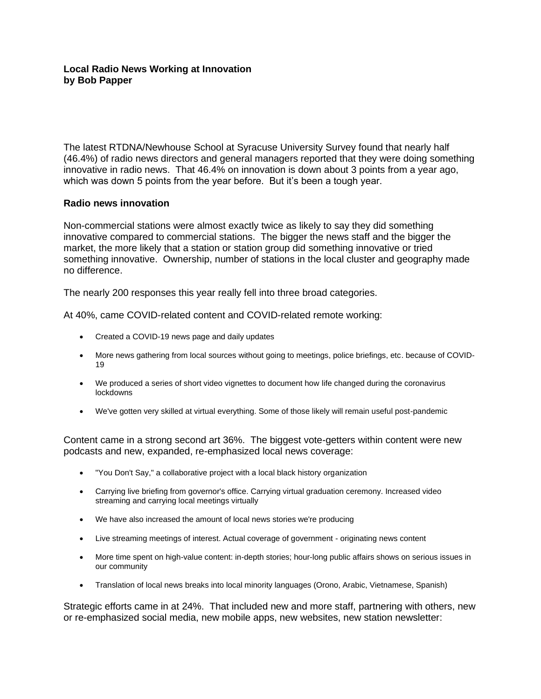## **Local Radio News Working at Innovation by Bob Papper**

The latest RTDNA/Newhouse School at Syracuse University Survey found that nearly half (46.4%) of radio news directors and general managers reported that they were doing something innovative in radio news. That 46.4% on innovation is down about 3 points from a year ago, which was down 5 points from the year before. But it's been a tough year.

## **Radio news innovation**

Non-commercial stations were almost exactly twice as likely to say they did something innovative compared to commercial stations. The bigger the news staff and the bigger the market, the more likely that a station or station group did something innovative or tried something innovative. Ownership, number of stations in the local cluster and geography made no difference.

The nearly 200 responses this year really fell into three broad categories.

At 40%, came COVID-related content and COVID-related remote working:

- Created a COVID-19 news page and daily updates
- More news gathering from local sources without going to meetings, police briefings, etc. because of COVID-19
- We produced a series of short video vignettes to document how life changed during the coronavirus lockdowns
- We've gotten very skilled at virtual everything. Some of those likely will remain useful post-pandemic

Content came in a strong second art 36%. The biggest vote-getters within content were new podcasts and new, expanded, re-emphasized local news coverage:

- "You Don't Say," a collaborative project with a local black history organization
- Carrying live briefing from governor's office. Carrying virtual graduation ceremony. Increased video streaming and carrying local meetings virtually
- We have also increased the amount of local news stories we're producing
- Live streaming meetings of interest. Actual coverage of government originating news content
- More time spent on high-value content: in-depth stories; hour-long public affairs shows on serious issues in our community
- Translation of local news breaks into local minority languages (Orono, Arabic, Vietnamese, Spanish)

Strategic efforts came in at 24%. That included new and more staff, partnering with others, new or re-emphasized social media, new mobile apps, new websites, new station newsletter: